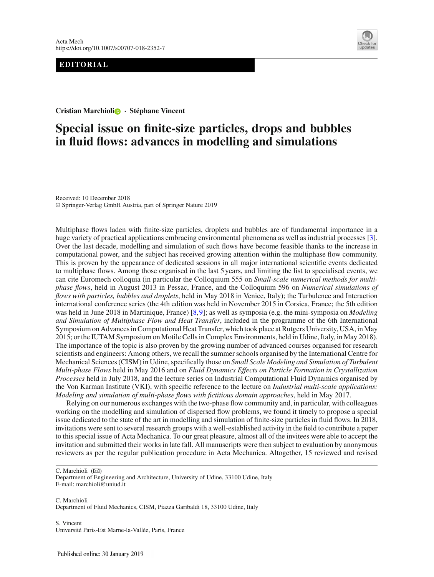## **EDITORIAL**



**Cristian Marchiol[i](http://orcid.org/0000-0003-0208-460X) · Stéphane Vincent**

# **Special issue on finite-size particles, drops and bubbles in fluid flows: advances in modelling and simulations**

Received: 10 December 2018 © Springer-Verlag GmbH Austria, part of Springer Nature 2019

Multiphase flows laden with finite-size particles, droplets and bubbles are of fundamental importance in a huge variety of practical applications embracing environmental phenomena as well as industrial processes [\[3\]](#page-5-0). Over the last decade, modelling and simulation of such flows have become feasible thanks to the increase in computational power, and the subject has received growing attention within the multiphase flow community. This is proven by the appearance of dedicated sessions in all major international scientific events dedicated to multiphase flows. Among those organised in the last 5 years, and limiting the list to specialised events, we can cite Euromech colloquia (in particular the Colloquium 555 on *Small-scale numerical methods for multiphase flows*, held in August 2013 in Pessac, France, and the Colloquium 596 on *Numerical simulations of flows with particles, bubbles and droplets*, held in May 2018 in Venice, Italy); the Turbulence and Interaction international conference series (the 4th edition was held in November 2015 in Corsica, France; the 5th edition was held in June 2018 in Martinique, France) [\[8](#page-5-1)[,9](#page-5-2)]; as well as symposia (e.g. the mini-symposia on *Modeling and Simulation of Multiphase Flow and Heat Transfer*, included in the programme of the 6th International Symposium on Advances in Computational Heat Transfer, which took place at Rutgers University, USA, in May 2015; or the IUTAM Symposium on Motile Cells in Complex Environments, held in Udine, Italy, in May 2018). The importance of the topic is also proven by the growing number of advanced courses organised for research scientists and engineers: Among others, we recall the summer schools organised by the International Centre for Mechanical Sciences (CISM) in Udine, specifically those on *Small Scale Modeling and Simulation of Turbulent Multi-phase Flows* held in May 2016 and on *Fluid Dynamics Effects on Particle Formation in Crystallization Processes* held in July 2018, and the lecture series on Industrial Computational Fluid Dynamics organised by the Von Karman Institute (VKI), with specific reference to the lecture on *Industrial multi-scale applications: Modeling and simulation of multi-phase flows with fictitious domain approaches*, held in May 2017.

Relying on our numerous exchanges with the two-phase flow community and, in particular, with colleagues working on the modelling and simulation of dispersed flow problems, we found it timely to propose a special issue dedicated to the state of the art in modelling and simulation of finite-size particles in fluid flows. In 2018, invitations were sent to several research groups with a well-established activity in the field to contribute a paper to this special issue of Acta Mechanica. To our great pleasure, almost all of the invitees were able to accept the invitation and submitted their works in late fall. All manuscripts were then subject to evaluation by anonymous reviewers as per the regular publication procedure in Acta Mechanica. Altogether, 15 reviewed and revised

C. Marchioli Department of Fluid Mechanics, CISM, Piazza Garibaldi 18, 33100 Udine, Italy

C. Marchioli  $(\boxtimes)$ 

Department of Engineering and Architecture, University of Udine, 33100 Udine, Italy E-mail: marchioli@uniud.it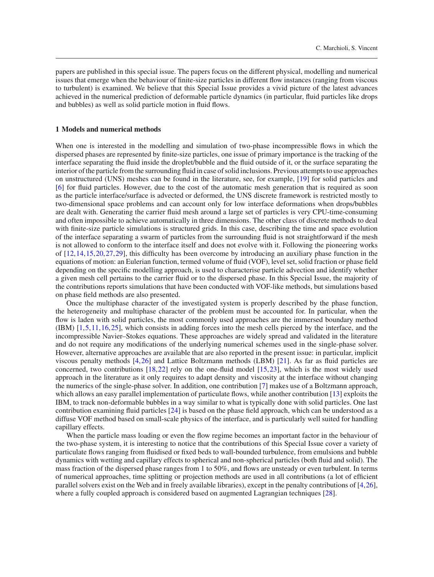papers are published in this special issue. The papers focus on the different physical, modelling and numerical issues that emerge when the behaviour of finite-size particles in different flow instances (ranging from viscous to turbulent) is examined. We believe that this Special Issue provides a vivid picture of the latest advances achieved in the numerical prediction of deformable particle dynamics (in particular, fluid particles like drops and bubbles) as well as solid particle motion in fluid flows.

#### **1 Models and numerical methods**

When one is interested in the modelling and simulation of two-phase incompressible flows in which the dispersed phases are represented by finite-size particles, one issue of primary importance is the tracking of the interface separating the fluid inside the droplet/bubble and the fluid outside of it, or the surface separating the interior of the particle from the surrounding fluid in case of solid inclusions. Previous attempts to use approaches on unstructured (UNS) meshes can be found in the literature, see, for example, [\[19](#page-5-3)] for solid particles and [\[6\]](#page-5-4) for fluid particles. However, due to the cost of the automatic mesh generation that is required as soon as the particle interface/surface is advected or deformed, the UNS discrete framework is restricted mostly to two-dimensional space problems and can account only for low interface deformations when drops/bubbles are dealt with. Generating the carrier fluid mesh around a large set of particles is very CPU-time-consuming and often impossible to achieve automatically in three dimensions. The other class of discrete methods to deal with finite-size particle simulations is structured grids. In this case, describing the time and space evolution of the interface separating a swarm of particles from the surrounding fluid is not straightforward if the mesh is not allowed to conform to the interface itself and does not evolve with it. Following the pioneering works of [\[12](#page-5-5),[14](#page-5-6)[,15](#page-5-7),[20](#page-5-8)[,27](#page-5-9),[29\]](#page-5-10), this difficulty has been overcome by introducing an auxiliary phase function in the equations of motion: an Eulerian function, termed volume of fluid (VOF), level set, solid fraction or phase field depending on the specific modelling approach, is used to characterise particle advection and identify whether a given mesh cell pertains to the carrier fluid or to the dispersed phase. In this Special Issue, the majority of the contributions reports simulations that have been conducted with VOF-like methods, but simulations based on phase field methods are also presented.

Once the multiphase character of the investigated system is properly described by the phase function, the heterogeneity and multiphase character of the problem must be accounted for. In particular, when the flow is laden with solid particles, the most commonly used approaches are the immersed boundary method (IBM) [\[1](#page-4-0)[,5](#page-5-11),[11,](#page-5-12)[16](#page-5-13),[25\]](#page-5-14), which consists in adding forces into the mesh cells pierced by the interface, and the incompressible Navier–Stokes equations. These approaches are widely spread and validated in the literature and do not require any modifications of the underlying numerical schemes used in the single-phase solver. However, alternative approaches are available that are also reported in the present issue: in particular, implicit viscous penalty methods [\[4,](#page-5-15)[26](#page-5-16)] and Lattice Boltzmann methods (LBM) [\[21\]](#page-5-17). As far as fluid particles are concerned, two contributions [\[18](#page-5-18)[,22](#page-5-19)] rely on the one-fluid model [\[15](#page-5-7)[,23](#page-5-20)], which is the most widely used approach in the literature as it only requires to adapt density and viscosity at the interface without changing the numerics of the single-phase solver. In addition, one contribution [\[7](#page-5-21)] makes use of a Boltzmann approach, which allows an easy parallel implementation of particulate flows, while another contribution [\[13](#page-5-22)] exploits the IBM, to track non-deformable bubbles in a way similar to what is typically done with solid particles. One last contribution examining fluid particles [\[24](#page-5-23)] is based on the phase field approach, which can be understood as a diffuse VOF method based on small-scale physics of the interface, and is particularly well suited for handling capillary effects.

When the particle mass loading or even the flow regime becomes an important factor in the behaviour of the two-phase system, it is interesting to notice that the contributions of this Special Issue cover a variety of particulate flows ranging from fluidised or fixed beds to wall-bounded turbulence, from emulsions and bubble dynamics with wetting and capillary effects to spherical and non-spherical particles (both fluid and solid). The mass fraction of the dispersed phase ranges from 1 to 50%, and flows are unsteady or even turbulent. In terms of numerical approaches, time splitting or projection methods are used in all contributions (a lot of efficient parallel solvers exist on the Web and in freely available libraries), except in the penalty contributions of [\[4](#page-5-15)[,26\]](#page-5-16), where a fully coupled approach is considered based on augmented Lagrangian techniques [\[28\]](#page-5-24).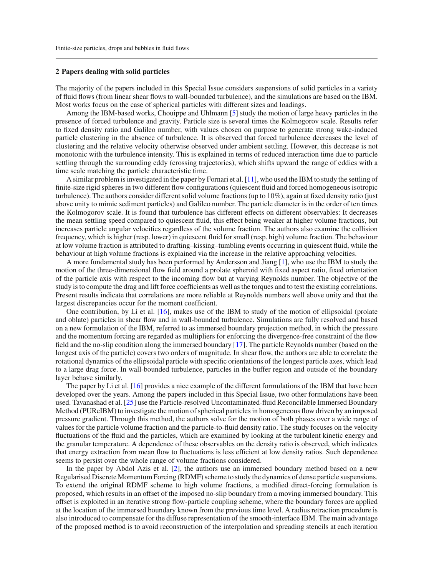#### **2 Papers dealing with solid particles**

The majority of the papers included in this Special Issue considers suspensions of solid particles in a variety of fluid flows (from linear shear flows to wall-bounded turbulence), and the simulations are based on the IBM. Most works focus on the case of spherical particles with different sizes and loadings.

Among the IBM-based works, Chouippe and Uhlmann [\[5\]](#page-5-11) study the motion of large heavy particles in the presence of forced turbulence and gravity. Particle size is several times the Kolmogorov scale. Results refer to fixed density ratio and Galileo number, with values chosen on purpose to generate strong wake-induced particle clustering in the absence of turbulence. It is observed that forced turbulence decreases the level of clustering and the relative velocity otherwise observed under ambient settling. However, this decrease is not monotonic with the turbulence intensity. This is explained in terms of reduced interaction time due to particle settling through the surrounding eddy (crossing trajectories), which shifts upward the range of eddies with a time scale matching the particle characteristic time.

A similar problem is investigated in the paper by Fornari et al. [\[11](#page-5-12)], who used the IBM to study the settling of finite-size rigid spheres in two different flow configurations (quiescent fluid and forced homogeneous isotropic turbulence). The authors consider different solid volume fractions (up to 10%), again at fixed density ratio (just above unity to mimic sediment particles) and Galileo number. The particle diameter is in the order of ten times the Kolmogorov scale. It is found that turbulence has different effects on different observables: It decreases the mean settling speed compared to quiescent fluid, this effect being weaker at higher volume fractions, but increases particle angular velocities regardless of the volume fraction. The authors also examine the collision frequency, which is higher (resp. lower) in quiescent fluid for small (resp. high) volume fraction. The behaviour at low volume fraction is attributed to drafting–kissing–tumbling events occurring in quiescent fluid, while the behaviour at high volume fractions is explained via the increase in the relative approaching velocities.

A more fundamental study has been performed by Andersson and Jiang [\[1](#page-4-0)], who use the IBM to study the motion of the three-dimensional flow field around a prolate spheroid with fixed aspect ratio, fixed orientation of the particle axis with respect to the incoming flow but at varying Reynolds number. The objective of the study is to compute the drag and lift force coefficients as well as the torques and to test the existing correlations. Present results indicate that correlations are more reliable at Reynolds numbers well above unity and that the largest discrepancies occur for the moment coefficient.

One contribution, by Li et al. [\[16](#page-5-13)], makes use of the IBM to study of the motion of ellipsoidal (prolate and oblate) particles in shear flow and in wall-bounded turbulence. Simulations are fully resolved and based on a new formulation of the IBM, referred to as immersed boundary projection method, in which the pressure and the momentum forcing are regarded as multipliers for enforcing the divergence-free constraint of the flow field and the no-slip condition along the immersed boundary [\[17\]](#page-5-25). The particle Reynolds number (based on the longest axis of the particle) covers two orders of magnitude. In shear flow, the authors are able to correlate the rotational dynamics of the ellipsoidal particle with specific orientations of the longest particle axes, which lead to a large drag force. In wall-bounded turbulence, particles in the buffer region and outside of the boundary layer behave similarly.

The paper by Li et al. [\[16\]](#page-5-13) provides a nice example of the different formulations of the IBM that have been developed over the years. Among the papers included in this Special Issue, two other formulations have been used. Tavanashad et al. [\[25\]](#page-5-14) use the Particle-resolved Uncontaminated-fluid Reconcilable Immersed Boundary Method (PUReIBM) to investigate the motion of spherical particles in homogeneous flow driven by an imposed pressure gradient. Through this method, the authors solve for the motion of both phases over a wide range of values for the particle volume fraction and the particle-to-fluid density ratio. The study focuses on the velocity fluctuations of the fluid and the particles, which are examined by looking at the turbulent kinetic energy and the granular temperature. A dependence of these observables on the density ratio is observed, which indicates that energy extraction from mean flow to fluctuations is less efficient at low density ratios. Such dependence seems to persist over the whole range of volume fractions considered.

In the paper by Abdol Azis et al. [\[2\]](#page-5-26), the authors use an immersed boundary method based on a new Regularised Discrete Momentum Forcing (RDMF) scheme to study the dynamics of dense particle suspensions. To extend the original RDMF scheme to high volume fractions, a modified direct-forcing formulation is proposed, which results in an offset of the imposed no-slip boundary from a moving immersed boundary. This offset is exploited in an iterative strong flow-particle coupling scheme, where the boundary forces are applied at the location of the immersed boundary known from the previous time level. A radius retraction procedure is also introduced to compensate for the diffuse representation of the smooth-interface IBM. The main advantage of the proposed method is to avoid reconstruction of the interpolation and spreading stencils at each iteration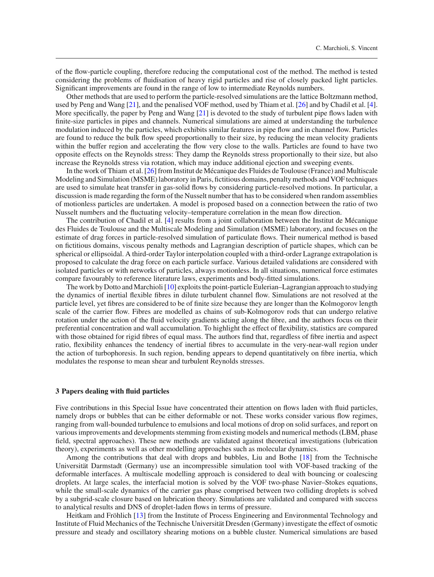of the flow-particle coupling, therefore reducing the computational cost of the method. The method is tested considering the problems of fluidisation of heavy rigid particles and rise of closely packed light particles. Significant improvements are found in the range of low to intermediate Reynolds numbers.

Other methods that are used to perform the particle-resolved simulations are the lattice Boltzmann method, used by Peng and Wang [\[21](#page-5-17)], and the penalised VOF method, used by Thiam et al. [\[26\]](#page-5-16) and by Chadil et al. [\[4\]](#page-5-15). More specifically, the paper by Peng and Wang [\[21](#page-5-17)] is devoted to the study of turbulent pipe flows laden with finite-size particles in pipes and channels. Numerical simulations are aimed at understanding the turbulence modulation induced by the particles, which exhibits similar features in pipe flow and in channel flow. Particles are found to reduce the bulk flow speed proportionally to their size, by reducing the mean velocity gradients within the buffer region and accelerating the flow very close to the walls. Particles are found to have two opposite effects on the Reynolds stress: They damp the Reynolds stress proportionally to their size, but also increase the Reynolds stress via rotation, which may induce additional ejection and sweeping events.

In the work of Thiam et al. [\[26\]](#page-5-16) from Institut de Mécanique des Fluides de Toulouse (France) and Multiscale Modeling and Simulation (MSME) laboratory in Paris, fictitious domains, penalty methods and VOF techniques are used to simulate heat transfer in gas-solid flows by considering particle-resolved motions. In particular, a discussion is made regarding the form of the Nusselt number that has to be considered when random assemblies of motionless particles are undertaken. A model is proposed based on a connection between the ratio of two Nusselt numbers and the fluctuating velocity–temperature correlation in the mean flow direction.

The contribution of Chadil et al. [\[4](#page-5-15)] results from a joint collaboration between the Institut de Mécanique des Fluides de Toulouse and the Multiscale Modeling and Simulation (MSME) laboratory, and focuses on the estimate of drag forces in particle-resolved simulation of particulate flows. Their numerical method is based on fictitious domains, viscous penalty methods and Lagrangian description of particle shapes, which can be spherical or ellipsoidal. A third-order Taylor interpolation coupled with a third-order Lagrange extrapolation is proposed to calculate the drag force on each particle surface. Various detailed validations are considered with isolated particles or with networks of particles, always motionless. In all situations, numerical force estimates compare favourably to reference literature laws, experiments and body-fitted simulations.

The work by Dotto and Marchioli [\[10\]](#page-5-27) exploits the point-particle Eulerian–Lagrangian approach to studying the dynamics of inertial flexible fibres in dilute turbulent channel flow. Simulations are not resolved at the particle level, yet fibres are considered to be of finite size because they are longer than the Kolmogorov length scale of the carrier flow. Fibres are modelled as chains of sub-Kolmogorov rods that can undergo relative rotation under the action of the fluid velocity gradients acting along the fibre, and the authors focus on their preferential concentration and wall accumulation. To highlight the effect of flexibility, statistics are compared with those obtained for rigid fibres of equal mass. The authors find that, regardless of fibre inertia and aspect ratio, flexibility enhances the tendency of inertial fibres to accumulate in the very-near-wall region under the action of turbophoresis. In such region, bending appears to depend quantitatively on fibre inertia, which modulates the response to mean shear and turbulent Reynolds stresses.

#### **3 Papers dealing with fluid particles**

Five contributions in this Special Issue have concentrated their attention on flows laden with fluid particles, namely drops or bubbles that can be either deformable or not. These works consider various flow regimes, ranging from wall-bounded turbulence to emulsions and local motions of drop on solid surfaces, and report on various improvements and developments stemming from existing models and numerical methods (LBM, phase field, spectral approaches). These new methods are validated against theoretical investigations (lubrication theory), experiments as well as other modelling approaches such as molecular dynamics.

Among the contributions that deal with drops and bubbles, Liu and Bothe [\[18](#page-5-18)] from the Technische Universität Darmstadt (Germany) use an incompressible simulation tool with VOF-based tracking of the deformable interfaces. A multiscale modelling approach is considered to deal with bouncing or coalescing droplets. At large scales, the interfacial motion is solved by the VOF two-phase Navier–Stokes equations, while the small-scale dynamics of the carrier gas phase comprised between two colliding droplets is solved by a subgrid-scale closure based on lubrication theory. Simulations are validated and compared with success to analytical results and DNS of droplet-laden flows in terms of pressure.

Heitkam and Fröhlich [\[13\]](#page-5-22) from the Institute of Process Engineering and Environmental Technology and Institute of Fluid Mechanics of the Technische Universität Dresden (Germany) investigate the effect of osmotic pressure and steady and oscillatory shearing motions on a bubble cluster. Numerical simulations are based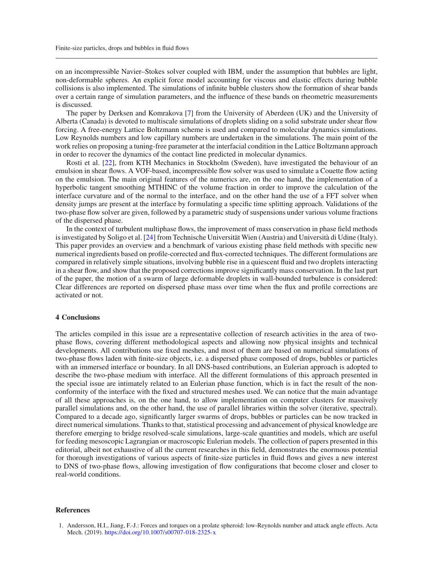on an incompressible Navier–Stokes solver coupled with IBM, under the assumption that bubbles are light, non-deformable spheres. An explicit force model accounting for viscous and elastic effects during bubble collisions is also implemented. The simulations of infinite bubble clusters show the formation of shear bands over a certain range of simulation parameters, and the influence of these bands on rheometric measurements is discussed.

The paper by Derksen and Komrakova [\[7](#page-5-21)] from the University of Aberdeen (UK) and the University of Alberta (Canada) is devoted to multiscale simulations of droplets sliding on a solid substrate under shear flow forcing. A free-energy Lattice Boltzmann scheme is used and compared to molecular dynamics simulations. Low Reynolds numbers and low capillary numbers are undertaken in the simulations. The main point of the work relies on proposing a tuning-free parameter at the interfacial condition in the Lattice Boltzmann approach in order to recover the dynamics of the contact line predicted in molecular dynamics.

Rosti et al. [\[22\]](#page-5-19), from KTH Mechanics in Stockholm (Sweden), have investigated the behaviour of an emulsion in shear flows. A VOF-based, incompressible flow solver was used to simulate a Couette flow acting on the emulsion. The main original features of the numerics are, on the one hand, the implementation of a hyperbolic tangent smoothing MTHINC of the volume fraction in order to improve the calculation of the interface curvature and of the normal to the interface, and on the other hand the use of a FFT solver when density jumps are present at the interface by formulating a specific time splitting approach. Validations of the two-phase flow solver are given, followed by a parametric study of suspensions under various volume fractions of the dispersed phase.

In the context of turbulent multiphase flows, the improvement of mass conservation in phase field methods is investigated by Soligo et al. [\[24](#page-5-23)] from Technische Universität Wien (Austria) and Università di Udine (Italy). This paper provides an overview and a benchmark of various existing phase field methods with specific new numerical ingredients based on profile-corrected and flux-corrected techniques. The different formulations are compared in relatively simple situations, involving bubble rise in a quiescent fluid and two droplets interacting in a shear flow, and show that the proposed corrections improve significantly mass conservation. In the last part of the paper, the motion of a swarm of large deformable droplets in wall-bounded turbulence is considered: Clear differences are reported on dispersed phase mass over time when the flux and profile corrections are activated or not.

### **4 Conclusions**

The articles compiled in this issue are a representative collection of research activities in the area of twophase flows, covering different methodological aspects and allowing now physical insights and technical developments. All contributions use fixed meshes, and most of them are based on numerical simulations of two-phase flows laden with finite-size objects, i.e. a dispersed phase composed of drops, bubbles or particles with an immersed interface or boundary. In all DNS-based contributions, an Eulerian approach is adopted to describe the two-phase medium with interface. All the different formulations of this approach presented in the special issue are intimately related to an Eulerian phase function, which is in fact the result of the nonconformity of the interface with the fixed and structured meshes used. We can notice that the main advantage of all these approaches is, on the one hand, to allow implementation on computer clusters for massively parallel simulations and, on the other hand, the use of parallel libraries within the solver (iterative, spectral). Compared to a decade ago, significantly larger swarms of drops, bubbles or particles can be now tracked in direct numerical simulations. Thanks to that, statistical processing and advancement of physical knowledge are therefore emerging to bridge resolved-scale simulations, large-scale quantities and models, which are useful for feeding mesoscopic Lagrangian or macroscopic Eulerian models. The collection of papers presented in this editorial, albeit not exhaustive of all the current researches in this field, demonstrates the enormous potential for thorough investigations of various aspects of finite-size particles in fluid flows and gives a new interest to DNS of two-phase flows, allowing investigation of flow configurations that become closer and closer to real-world conditions.

#### **References**

<span id="page-4-0"></span><sup>1.</sup> Andersson, H.I., Jiang, F.-J.: Forces and torques on a prolate spheroid: low-Reynolds number and attack angle effects. Acta Mech. (2019). <https://doi.org/10.1007/s00707-018-2325-x>